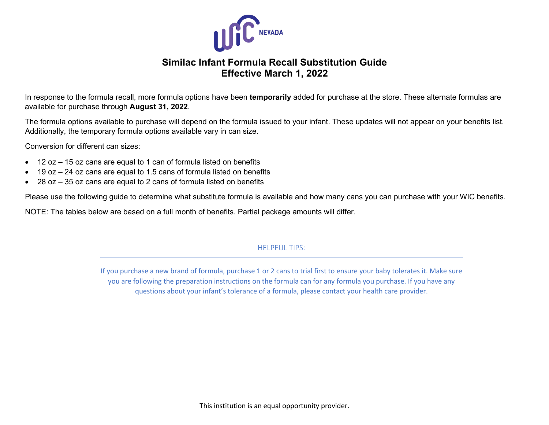

## **Similac Infant Formula Recall Substitution Guide Effective March 1, 2022**

In response to the formula recall, more formula options have been **temporarily** added for purchase at the store. These alternate formulas are available for purchase through **August 31, 2022**.

The formula options available to purchase will depend on the formula issued to your infant. These updates will not appear on your benefits list. Additionally, the temporary formula options available vary in can size.

Conversion for different can sizes:

- 12 oz 15 oz cans are equal to 1 can of formula listed on benefits
- 19 oz 24 oz cans are equal to 1.5 cans of formula listed on benefits
- 28 oz 35 oz cans are equal to 2 cans of formula listed on benefits

Please use the following guide to determine what substitute formula is available and how many cans you can purchase with your WIC benefits.

NOTE: The tables below are based on a full month of benefits. Partial package amounts will differ.

## HELPFUL TIPS:

If you purchase a new brand of formula, purchase 1 or 2 cans to trial first to ensure your baby tolerates it. Make sure you are following the preparation instructions on the formula can for any formula you purchase. If you have any questions about your infant's tolerance of a formula, please contact your health care provider.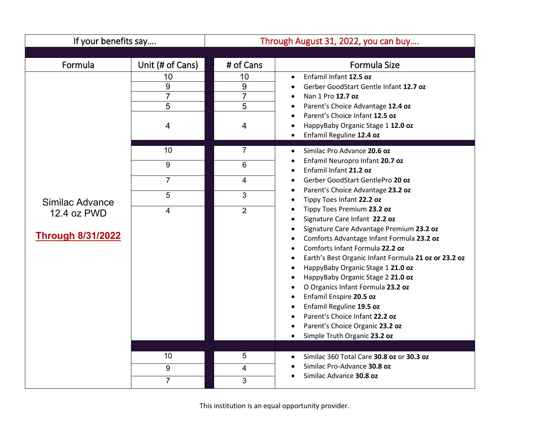| If your benefits say                                       |                                     | Through August 31, 2022, you can buy                                                                                                                                                                                                                    |                                                                                                                                                                                                                                                                                                                                                                                                                                                                                                                                                                                                                                                                                                |
|------------------------------------------------------------|-------------------------------------|---------------------------------------------------------------------------------------------------------------------------------------------------------------------------------------------------------------------------------------------------------|------------------------------------------------------------------------------------------------------------------------------------------------------------------------------------------------------------------------------------------------------------------------------------------------------------------------------------------------------------------------------------------------------------------------------------------------------------------------------------------------------------------------------------------------------------------------------------------------------------------------------------------------------------------------------------------------|
|                                                            |                                     |                                                                                                                                                                                                                                                         |                                                                                                                                                                                                                                                                                                                                                                                                                                                                                                                                                                                                                                                                                                |
| Formula                                                    | Unit (# of Cans)                    | # of Cans                                                                                                                                                                                                                                               | <b>Formula Size</b>                                                                                                                                                                                                                                                                                                                                                                                                                                                                                                                                                                                                                                                                            |
| 10<br>9<br>$\overline{7}$<br>5<br>4                        | 10<br>9<br>$\overline{7}$<br>5<br>4 | Enfamil Infant 12.5 oz<br>$\bullet$<br>Gerber GoodStart Gentle Infant 12.7 oz<br>Nan 1 Pro 12.7 oz<br>Parent's Choice Advantage 12.4 oz<br>Parent's Choice Infant 12.5 oz<br>HappyBaby Organic Stage 1 12.0 oz<br>Enfamil Reguline 12.4 oz<br>$\bullet$ |                                                                                                                                                                                                                                                                                                                                                                                                                                                                                                                                                                                                                                                                                                |
|                                                            | 10<br>9<br>$\overline{7}$           | $\overline{7}$<br>6<br>4                                                                                                                                                                                                                                | Similac Pro Advance 20.6 oz<br>$\bullet$<br>Enfamil Neuropro Infant 20.7 oz<br>Enfamil Infant 21.2 oz<br>Gerber GoodStart GentlePro 20 oz                                                                                                                                                                                                                                                                                                                                                                                                                                                                                                                                                      |
| Similac Advance<br>12.4 oz PWD<br><b>Through 8/31/2022</b> | 5<br>4                              | 3<br>$\overline{2}$                                                                                                                                                                                                                                     | Parent's Choice Advantage 23.2 oz<br>Tippy Toes Infant 22.2 oz<br>$\bullet$<br>Tippy Toes Premium 23.2 oz<br>Signature Care Infant 22.2 oz<br>$\bullet$<br>Signature Care Advantage Premium 23.2 oz<br>$\bullet$<br>Comforts Advantage Infant Formula 23.2 oz<br>$\bullet$<br>Comforts Infant Formula 22.2 oz<br>$\bullet$<br>Earth's Best Organic Infant Formula 21 oz or 23.2 oz<br>$\bullet$<br>HappyBaby Organic Stage 1 21.0 oz<br>$\bullet$<br>HappyBaby Organic Stage 2 21.0 oz<br>$\bullet$<br>O Organics Infant Formula 23.2 oz<br>Enfamil Enspire 20.5 oz<br>Enfamil Reguline 19.5 oz<br>$\bullet$<br>Parent's Choice Infant 22.2 oz<br>Parent's Choice Organic 23.2 oz<br>$\bullet$ |
|                                                            | 10<br>9<br>$\overline{7}$           | 5<br>4<br>3                                                                                                                                                                                                                                             | Simple Truth Organic 23.2 oz<br>$\bullet$<br>Similac 360 Total Care 30.8 oz or 30.3 oz<br>$\bullet$<br>Similac Pro-Advance 30.8 oz<br>Similac Advance 30.8 oz                                                                                                                                                                                                                                                                                                                                                                                                                                                                                                                                  |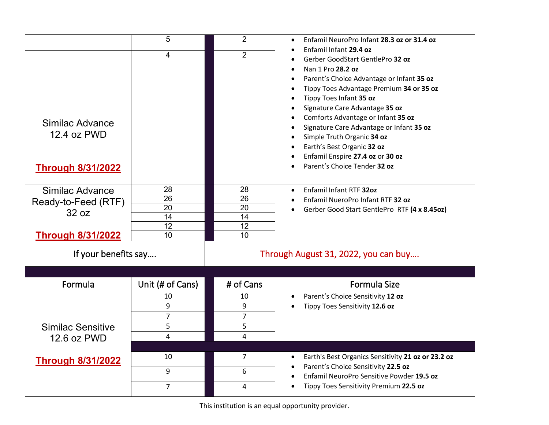|                                                                             | 5                                | $\overline{2}$                   | Enfamil NeuroPro Infant 28.3 oz or 31.4 oz                                                                                                                                                                                                                                                                                                                                                                                                              |
|-----------------------------------------------------------------------------|----------------------------------|----------------------------------|---------------------------------------------------------------------------------------------------------------------------------------------------------------------------------------------------------------------------------------------------------------------------------------------------------------------------------------------------------------------------------------------------------------------------------------------------------|
| Similac Advance<br>12.4 oz PWD<br><b>Through 8/31/2022</b>                  | 4                                | $\overline{2}$                   | Enfamil Infant 29.4 oz<br>Gerber GoodStart GentlePro 32 oz<br>Nan 1 Pro 28.2 oz<br>Parent's Choice Advantage or Infant 35 oz<br>Tippy Toes Advantage Premium 34 or 35 oz<br>Tippy Toes Infant 35 oz<br>Signature Care Advantage 35 oz<br>Comforts Advantage or Infant 35 oz<br>Signature Care Advantage or Infant 35 oz<br>Simple Truth Organic 34 oz<br>Earth's Best Organic 32 oz<br>Enfamil Enspire 27.4 oz or 30 oz<br>Parent's Choice Tender 32 oz |
| Similac Advance<br>Ready-to-Feed (RTF)<br>32 oz<br><b>Through 8/31/2022</b> | 28<br>26<br>20<br>14<br>12<br>10 | 28<br>26<br>20<br>14<br>12<br>10 | Enfamil Infant RTF 320z<br>Enfamil NueroPro Infant RTF 32 oz<br>Gerber Good Start GentlePro RTF (4 x 8.45oz)                                                                                                                                                                                                                                                                                                                                            |
| If your benefits say                                                        |                                  |                                  | Through August 31, 2022, you can buy                                                                                                                                                                                                                                                                                                                                                                                                                    |
|                                                                             |                                  |                                  |                                                                                                                                                                                                                                                                                                                                                                                                                                                         |
| Formula                                                                     | Unit (# of Cans)                 | # of Cans                        | <b>Formula Size</b>                                                                                                                                                                                                                                                                                                                                                                                                                                     |
|                                                                             | 10                               | 10                               | Parent's Choice Sensitivity 12 oz<br>$\bullet$                                                                                                                                                                                                                                                                                                                                                                                                          |
|                                                                             | 9<br>$\overline{7}$              | 9<br>$\overline{7}$              | Tippy Toes Sensitivity 12.6 oz                                                                                                                                                                                                                                                                                                                                                                                                                          |
| <b>Similac Sensitive</b>                                                    | 5                                | 5                                |                                                                                                                                                                                                                                                                                                                                                                                                                                                         |
| 12.6 oz PWD                                                                 | 4                                | 4                                |                                                                                                                                                                                                                                                                                                                                                                                                                                                         |
|                                                                             |                                  |                                  |                                                                                                                                                                                                                                                                                                                                                                                                                                                         |
| <b>Through 8/31/2022</b>                                                    | 10                               | $\overline{7}$                   | Earth's Best Organics Sensitivity 21 oz or 23.2 oz                                                                                                                                                                                                                                                                                                                                                                                                      |
|                                                                             | 9                                | 6                                | Parent's Choice Sensitivity 22.5 oz                                                                                                                                                                                                                                                                                                                                                                                                                     |
|                                                                             | $\overline{7}$                   |                                  | Enfamil NeuroPro Sensitive Powder 19.5 oz<br>Tippy Toes Sensitivity Premium 22.5 oz                                                                                                                                                                                                                                                                                                                                                                     |
|                                                                             |                                  | 4                                |                                                                                                                                                                                                                                                                                                                                                                                                                                                         |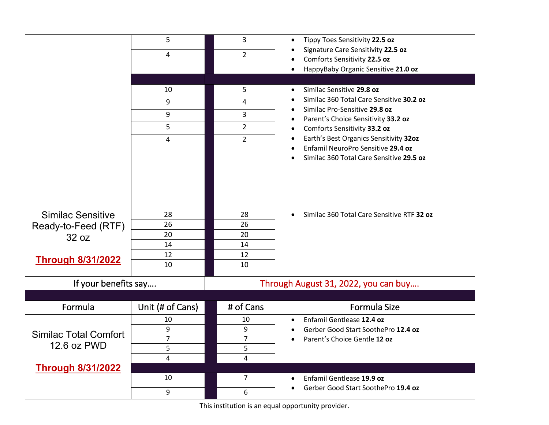|                              | 5                   | 3                                    | Tippy Toes Sensitivity 22.5 oz<br>٠                     |
|------------------------------|---------------------|--------------------------------------|---------------------------------------------------------|
|                              | 4                   | $\overline{2}$                       | Signature Care Sensitivity 22.5 oz                      |
|                              |                     |                                      | Comforts Sensitivity 22.5 oz                            |
|                              |                     |                                      | HappyBaby Organic Sensitive 21.0 oz<br>٠                |
|                              | 10                  | 5                                    | Similac Sensitive 29.8 oz                               |
|                              | 9                   |                                      | Similac 360 Total Care Sensitive 30.2 oz                |
|                              |                     | 4                                    | Similac Pro-Sensitive 29.8 oz                           |
|                              | 9                   | 3                                    | Parent's Choice Sensitivity 33.2 oz<br>٠                |
|                              | 5                   | $\overline{2}$                       | Comforts Sensitivity 33.2 oz                            |
|                              | 4                   | $\overline{2}$                       | Earth's Best Organics Sensitivity 320z                  |
|                              |                     |                                      | Enfamil NeuroPro Sensitive 29.4 oz                      |
|                              |                     |                                      | Similac 360 Total Care Sensitive 29.5 oz                |
|                              |                     |                                      |                                                         |
|                              |                     |                                      |                                                         |
|                              |                     |                                      |                                                         |
|                              |                     |                                      |                                                         |
| <b>Similac Sensitive</b>     | 28<br>26            | 28<br>26                             | Similac 360 Total Care Sensitive RTF 32 oz<br>$\bullet$ |
| Ready-to-Feed (RTF)          | 20                  | 20                                   |                                                         |
| 32 oz                        | 14                  | 14                                   |                                                         |
|                              | 12                  | 12                                   |                                                         |
| <b>Through 8/31/2022</b>     | 10                  | 10                                   |                                                         |
|                              |                     |                                      |                                                         |
| If your benefits say         |                     | Through August 31, 2022, you can buy |                                                         |
|                              |                     |                                      |                                                         |
| Formula                      | Unit (# of Cans)    | # of Cans                            | <b>Formula Size</b>                                     |
|                              | 10                  | 10                                   | Enfamil Gentlease 12.4 oz                               |
| <b>Similac Total Comfort</b> | 9                   | 9                                    | Gerber Good Start SoothePro 12.4 oz                     |
| 12.6 oz PWD                  | $\overline{7}$<br>5 | $\overline{7}$<br>5                  | Parent's Choice Gentle 12 oz                            |
|                              | 4                   | 4                                    |                                                         |
| <b>Through 8/31/2022</b>     |                     |                                      |                                                         |
|                              |                     |                                      |                                                         |
|                              | 10                  | $\overline{7}$                       | Enfamil Gentlease 19.9 oz<br>$\bullet$                  |

This institution is an equal opportunity provider.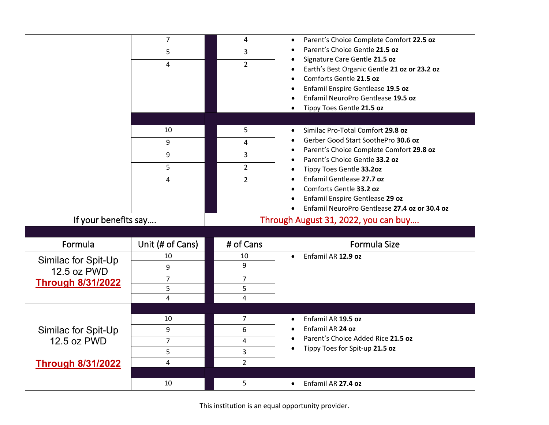|                                                                | 7<br>5                                                  | 4<br>3                                          | Parent's Choice Complete Comfort 22.5 oz<br>$\bullet$<br>Parent's Choice Gentle 21.5 oz<br>Signature Care Gentle 21.5 oz                                                                                                                  |
|----------------------------------------------------------------|---------------------------------------------------------|-------------------------------------------------|-------------------------------------------------------------------------------------------------------------------------------------------------------------------------------------------------------------------------------------------|
|                                                                | 4                                                       | $\overline{2}$                                  | Earth's Best Organic Gentle 21 oz or 23.2 oz<br>Comforts Gentle 21.5 oz<br>Enfamil Enspire Gentlease 19.5 oz<br>Enfamil NeuroPro Gentlease 19.5 oz<br>Tippy Toes Gentle 21.5 oz<br>$\bullet$                                              |
|                                                                | 10<br>9<br>9<br>5<br>4                                  | 5<br>4<br>3<br>$\overline{2}$<br>$\overline{2}$ | Similac Pro-Total Comfort 29.8 oz<br>$\bullet$<br>Gerber Good Start SoothePro 30.6 oz<br>Parent's Choice Complete Comfort 29.8 oz<br>Parent's Choice Gentle 33.2 oz<br>$\bullet$<br>Tippy Toes Gentle 33.20z<br>Enfamil Gentlease 27.7 oz |
|                                                                |                                                         |                                                 | Comforts Gentle 33.2 oz<br>Enfamil Enspire Gentlease 29 oz<br>Enfamil NeuroPro Gentlease 27.4 oz or 30.4 oz<br>$\bullet$                                                                                                                  |
| If your benefits say<br>Formula                                |                                                         | # of Cans                                       | Through August 31, 2022, you can buy<br><b>Formula Size</b>                                                                                                                                                                               |
| Similac for Spit-Up<br>12.5 oz PWD<br><b>Through 8/31/2022</b> | Unit (# of Cans)<br>10<br>9<br>$\overline{7}$<br>5<br>4 | 10<br>9<br>7<br>5<br>4                          | Enfamil AR 12.9 oz<br>$\bullet$                                                                                                                                                                                                           |
| Similac for Spit-Up<br>12.5 oz PWD<br><b>Through 8/31/2022</b> | 10<br>9<br>$\overline{7}$<br>5<br>$\overline{4}$        | 7<br>6<br>4<br>3<br>$\overline{2}$              | Enfamil AR 19.5 oz<br>Enfamil AR 24 oz<br>Parent's Choice Added Rice 21.5 oz<br>Tippy Toes for Spit-up 21.5 oz                                                                                                                            |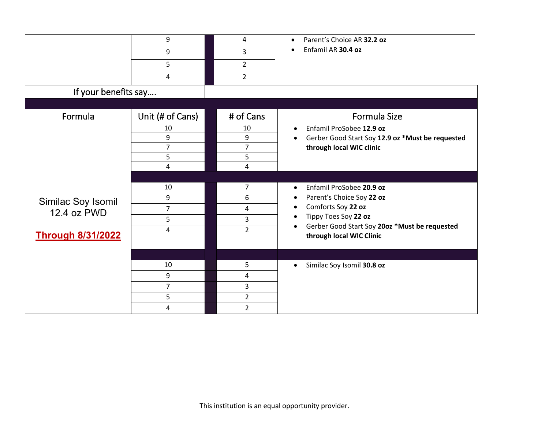|                          | 9                | 4              | Parent's Choice AR 32.2 oz<br>$\bullet$                                                |
|--------------------------|------------------|----------------|----------------------------------------------------------------------------------------|
|                          | 9                | 3              | Enfamil AR 30.4 oz<br>$\bullet$                                                        |
|                          | 5                | $\overline{2}$ |                                                                                        |
|                          | 4                | $\overline{2}$ |                                                                                        |
| If your benefits say     |                  |                |                                                                                        |
|                          |                  |                |                                                                                        |
| Formula                  | Unit (# of Cans) | # of Cans      | Formula Size                                                                           |
|                          | 10               | 10             | Enfamil ProSobee 12.9 oz<br>$\bullet$                                                  |
|                          | 9                | 9              | Gerber Good Start Soy 12.9 oz *Must be requested<br>$\bullet$                          |
|                          | $\overline{7}$   | $\overline{7}$ | through local WIC clinic                                                               |
|                          | 5                | 5              |                                                                                        |
|                          | 4                | 4              |                                                                                        |
|                          |                  |                |                                                                                        |
|                          | 10               | $\overline{7}$ | Enfamil ProSobee 20.9 oz<br>$\bullet$                                                  |
| Similac Soy Isomil       | 9                | 6              | Parent's Choice Soy 22 oz<br>$\bullet$                                                 |
| 12.4 oz PWD              | $\overline{7}$   | 4              | Comforts Soy 22 oz<br>$\bullet$                                                        |
|                          | 5                | 3              | Tippy Toes Soy 22 oz<br>$\bullet$                                                      |
| <b>Through 8/31/2022</b> | 4                | $\overline{2}$ | Gerber Good Start Soy 20oz *Must be requested<br>$\bullet$<br>through local WIC Clinic |
|                          |                  |                |                                                                                        |
|                          | 10               | 5              | Similac Soy Isomil 30.8 oz<br>$\bullet$                                                |
|                          | 9                | 4              |                                                                                        |
|                          | $\overline{7}$   | $\overline{3}$ |                                                                                        |
|                          | 5                | $\overline{2}$ |                                                                                        |
|                          | 4                | $\overline{2}$ |                                                                                        |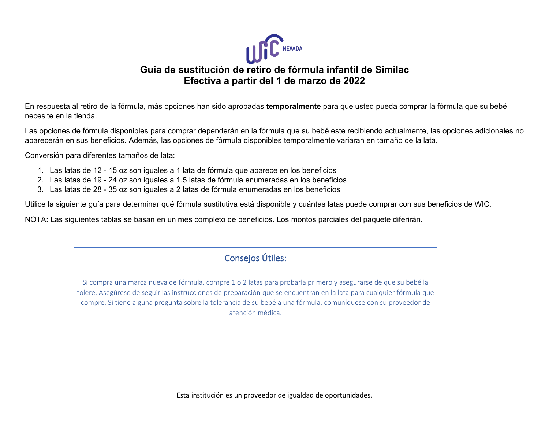

## **Guía de sustitución de retiro de fórmula infantil de Similac Efectiva a partir del 1 de marzo de 2022**

En respuesta al retiro de la fórmula, más opciones han sido aprobadas **temporalmente** para que usted pueda comprar la fórmula que su bebé necesite en la tienda.

Las opciones de fórmula disponibles para comprar dependerán en la fórmula que su bebé este recibiendo actualmente, las opciones adicionales no aparecerán en sus beneficios. Además, las opciones de fórmula disponibles temporalmente variaran en tamaño de la lata.

Conversión para diferentes tamaños de lata:

- 1. Las latas de 12 15 oz son iguales a 1 lata de fórmula que aparece en los beneficios
- 2. Las latas de 19 24 oz son iguales a 1.5 latas de fórmula enumeradas en los beneficios
- 3. Las latas de 28 35 oz son iguales a 2 latas de fórmula enumeradas en los beneficios

Utilice la siguiente guía para determinar qué fórmula sustitutiva está disponible y cuántas latas puede comprar con sus beneficios de WIC.

NOTA: Las siguientes tablas se basan en un mes completo de beneficios. Los montos parciales del paquete diferirán.

## Consejos Útiles:

Si compra una marca nueva de fórmula, compre 1 o 2 latas para probarla primero y asegurarse de que su bebé la tolere. Asegúrese de seguir las instrucciones de preparación que se encuentran en la lata para cualquier fórmula que compre. Si tiene alguna pregunta sobre la tolerancia de su bebé a una fórmula, comuníquese con su proveedor de atención médica.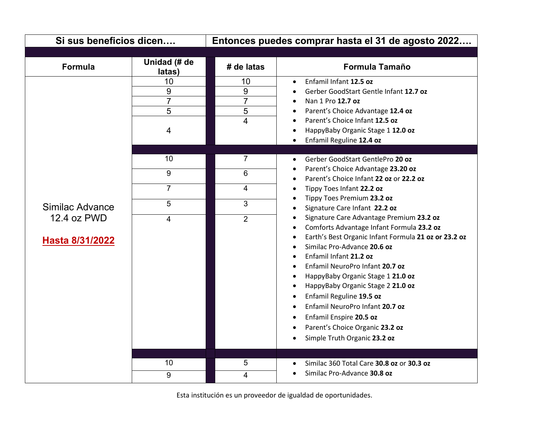| Si sus beneficios dicen        |                                     | Entonces puedes comprar hasta el 31 de agosto 2022 |                                                                                                                                                                                                                                                                                                                                                                                                                                                                                                                                   |
|--------------------------------|-------------------------------------|----------------------------------------------------|-----------------------------------------------------------------------------------------------------------------------------------------------------------------------------------------------------------------------------------------------------------------------------------------------------------------------------------------------------------------------------------------------------------------------------------------------------------------------------------------------------------------------------------|
|                                |                                     |                                                    |                                                                                                                                                                                                                                                                                                                                                                                                                                                                                                                                   |
| <b>Formula</b>                 | Unidad (# de<br>latas)              | # de latas                                         | <b>Formula Tamaño</b>                                                                                                                                                                                                                                                                                                                                                                                                                                                                                                             |
|                                | 10<br>9<br>$\overline{7}$<br>5<br>4 | 10<br>9<br>$\overline{7}$<br>5<br>4                | Enfamil Infant 12.5 oz<br>$\bullet$<br>Gerber GoodStart Gentle Infant 12.7 oz<br>Nan 1 Pro 12.7 oz<br>Parent's Choice Advantage 12.4 oz<br>Parent's Choice Infant 12.5 oz<br>HappyBaby Organic Stage 1 12.0 oz<br>Enfamil Reguline 12.4 oz                                                                                                                                                                                                                                                                                        |
|                                | 10<br>9                             | $\overline{7}$<br>$6\phantom{1}$                   | Gerber GoodStart GentlePro 20 oz<br>$\bullet$<br>Parent's Choice Advantage 23.20 oz                                                                                                                                                                                                                                                                                                                                                                                                                                               |
|                                | $\overline{7}$                      | 4                                                  | Parent's Choice Infant 22 oz or 22.2 oz<br>Tippy Toes Infant 22.2 oz                                                                                                                                                                                                                                                                                                                                                                                                                                                              |
| Similac Advance                | 5                                   | 3                                                  | Tippy Toes Premium 23.2 oz<br>Signature Care Infant 22.2 oz                                                                                                                                                                                                                                                                                                                                                                                                                                                                       |
| 12.4 oz PWD<br>Hasta 8/31/2022 | 4                                   | $\overline{2}$                                     | Signature Care Advantage Premium 23.2 oz<br>$\bullet$<br>Comforts Advantage Infant Formula 23.2 oz<br>$\bullet$<br>Earth's Best Organic Infant Formula 21 oz or 23.2 oz<br>$\bullet$<br>Similac Pro-Advance 20.6 oz<br>Enfamil Infant 21.2 oz<br>Enfamil NeuroPro Infant 20.7 oz<br>HappyBaby Organic Stage 1 21.0 oz<br>٠<br>HappyBaby Organic Stage 2 21.0 oz<br>٠<br>Enfamil Reguline 19.5 oz<br>Enfamil NeuroPro Infant 20.7 oz<br>Enfamil Enspire 20.5 oz<br>Parent's Choice Organic 23.2 oz<br>Simple Truth Organic 23.2 oz |
|                                | 10<br>9                             | 5<br>4                                             | Similac 360 Total Care 30.8 oz or 30.3 oz<br>Similac Pro-Advance 30.8 oz                                                                                                                                                                                                                                                                                                                                                                                                                                                          |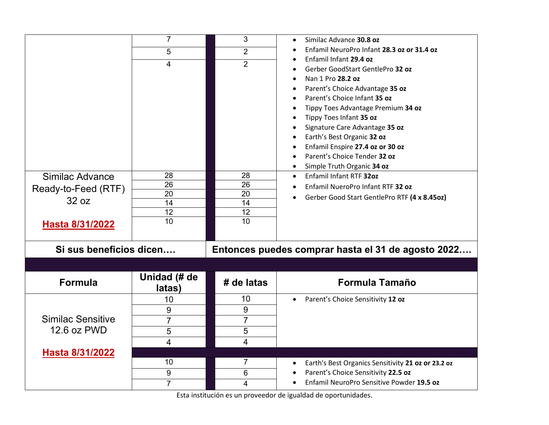|                          | $\overline{7}$         | 3              | Similac Advance 30.8 oz<br>$\bullet$                                             |
|--------------------------|------------------------|----------------|----------------------------------------------------------------------------------|
|                          | 5                      | $\overline{2}$ | Enfamil NeuroPro Infant 28.3 oz or 31.4 oz                                       |
|                          | 4                      | $\overline{2}$ | Enfamil Infant 29.4 oz                                                           |
|                          |                        |                | Gerber GoodStart GentlePro 32 oz                                                 |
|                          |                        |                | Nan 1 Pro 28.2 oz<br>$\bullet$<br>Parent's Choice Advantage 35 oz<br>$\bullet$   |
|                          |                        |                | Parent's Choice Infant 35 oz                                                     |
|                          |                        |                | Tippy Toes Advantage Premium 34 oz                                               |
|                          |                        |                | Tippy Toes Infant 35 oz                                                          |
|                          |                        |                | Signature Care Advantage 35 oz                                                   |
|                          |                        |                | Earth's Best Organic 32 oz                                                       |
|                          |                        |                | Enfamil Enspire 27.4 oz or 30 oz                                                 |
|                          |                        |                | Parent's Choice Tender 32 oz                                                     |
| Similac Advance          | 28                     | 28             | Simple Truth Organic 34 oz<br>Enfamil Infant RTF 320z<br>$\bullet$               |
|                          | 26                     | 26             | Enfamil NueroPro Infant RTF 32 oz                                                |
| Ready-to-Feed (RTF)      | 20                     | 20             | Gerber Good Start GentlePro RTF (4 x 8.45oz)                                     |
| 32 oz                    | 14                     | 14             |                                                                                  |
|                          | 12                     | 12             |                                                                                  |
|                          |                        |                |                                                                                  |
| Hasta 8/31/2022          | $\overline{10}$        | 10             |                                                                                  |
|                          |                        |                |                                                                                  |
| Si sus beneficios dicen  |                        |                | Entonces puedes comprar hasta el 31 de agosto 2022                               |
|                          |                        |                |                                                                                  |
| <b>Formula</b>           | Unidad (# de<br>latas) | # de latas     | <b>Formula Tamaño</b>                                                            |
|                          | 10                     | 10             | Parent's Choice Sensitivity 12 oz<br>$\bullet$                                   |
|                          | 9                      | 9              |                                                                                  |
| <b>Similac Sensitive</b> | $\overline{7}$         | $\overline{7}$ |                                                                                  |
| 12.6 oz PWD              | 5                      | 5              |                                                                                  |
|                          | 4                      | 4              |                                                                                  |
| Hasta 8/31/2022          |                        |                |                                                                                  |
|                          | 10                     | $\overline{7}$ | Earth's Best Organics Sensitivity 21 oz or 23.2 oz<br>$\bullet$                  |
|                          | 9<br>7                 | 6<br>4         | Parent's Choice Sensitivity 22.5 oz<br>Enfamil NeuroPro Sensitive Powder 19.5 oz |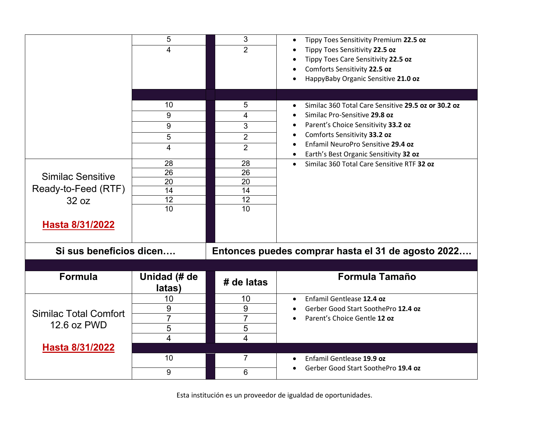|                                                                                                        | 5<br>4<br>10<br>9<br>9<br>5<br>4                           | 3<br>$\overline{2}$<br>5<br>4<br>3<br>$\overline{2}$<br>$\overline{2}$ | Tippy Toes Sensitivity Premium 22.5 oz<br>$\bullet$<br>Tippy Toes Sensitivity 22.5 oz<br>Tippy Toes Care Sensitivity 22.5 oz<br>Comforts Sensitivity 22.5 oz<br>HappyBaby Organic Sensitive 21.0 oz<br>Similac 360 Total Care Sensitive 29.5 oz or 30.2 oz<br>$\bullet$<br>Similac Pro-Sensitive 29.8 oz<br>Parent's Choice Sensitivity 33.2 oz<br>$\bullet$<br>Comforts Sensitivity 33.2 oz<br>Enfamil NeuroPro Sensitive 29.4 oz |
|--------------------------------------------------------------------------------------------------------|------------------------------------------------------------|------------------------------------------------------------------------|------------------------------------------------------------------------------------------------------------------------------------------------------------------------------------------------------------------------------------------------------------------------------------------------------------------------------------------------------------------------------------------------------------------------------------|
| <b>Similac Sensitive</b><br>Ready-to-Feed (RTF)<br>32 oz<br>Hasta 8/31/2022<br>Si sus beneficios dicen | 28<br>$\overline{26}$<br>$\overline{20}$<br>14<br>12<br>10 | 28<br>26<br>20<br>14<br>12<br>10                                       | Earth's Best Organic Sensitivity 32 oz<br>$\bullet$<br>Similac 360 Total Care Sensitive RTF 32 oz<br>$\bullet$<br>Entonces puedes comprar hasta el 31 de agosto 2022                                                                                                                                                                                                                                                               |
| <b>Formula</b>                                                                                         | Unidad (# de<br>latas)                                     | # de latas                                                             | <b>Formula Tamaño</b>                                                                                                                                                                                                                                                                                                                                                                                                              |
| <b>Similac Total Comfort</b><br>12.6 oz PWD<br>Hasta 8/31/2022                                         | 10<br>9<br>$\overline{7}$<br>5<br>$\overline{4}$           | 10<br>9<br>$\overline{7}$<br>5<br>4                                    | Enfamil Gentlease 12.4 oz<br>$\bullet$<br>Gerber Good Start SoothePro 12.4 oz<br>Parent's Choice Gentle 12 oz                                                                                                                                                                                                                                                                                                                      |
|                                                                                                        | 10<br>9                                                    | 7<br>6                                                                 | Enfamil Gentlease 19.9 oz<br>$\bullet$<br>Gerber Good Start SoothePro 19.4 oz                                                                                                                                                                                                                                                                                                                                                      |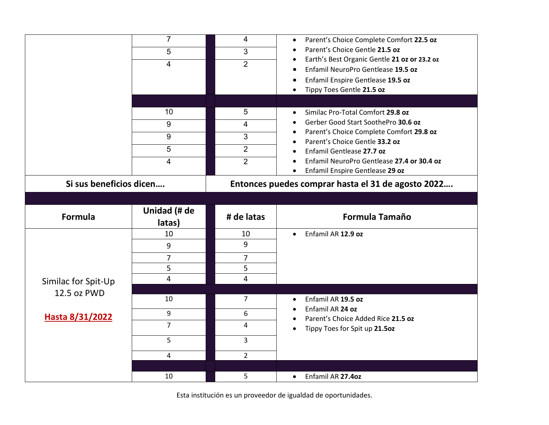|                         | $\overline{7}$<br>5<br>4            | 4<br>3<br>$\overline{2}$                        | Parent's Choice Complete Comfort 22.5 oz<br>$\bullet$<br>Parent's Choice Gentle 21.5 oz<br>Earth's Best Organic Gentle 21 oz or 23.2 oz<br>Enfamil NeuroPro Gentlease 19.5 oz<br>Enfamil Enspire Gentlease 19.5 oz<br>Tippy Toes Gentle 21.5 oz                                   |
|-------------------------|-------------------------------------|-------------------------------------------------|-----------------------------------------------------------------------------------------------------------------------------------------------------------------------------------------------------------------------------------------------------------------------------------|
|                         | 10<br>9<br>9<br>5<br>$\overline{4}$ | 5<br>4<br>3<br>$\overline{2}$<br>$\overline{2}$ | Similac Pro-Total Comfort 29.8 oz<br>Gerber Good Start SoothePro 30.6 oz<br>Parent's Choice Complete Comfort 29.8 oz<br>Parent's Choice Gentle 33.2 oz<br>Enfamil Gentlease 27.7 oz<br>Enfamil NeuroPro Gentlease 27.4 or 30.4 oz<br>Enfamil Enspire Gentlease 29 oz<br>$\bullet$ |
| Si sus beneficios dicen |                                     |                                                 | Entonces puedes comprar hasta el 31 de agosto 2022                                                                                                                                                                                                                                |
| Formula                 | Unidad (# de<br>latas)              | # de latas                                      | <b>Formula Tamaño</b>                                                                                                                                                                                                                                                             |
| Similac for Spit-Up     | 10<br>9<br>7<br>5<br>4              | 10<br>9<br>$\overline{7}$<br>5<br>4             | Enfamil AR 12.9 oz<br>$\bullet$                                                                                                                                                                                                                                                   |
| 12.5 oz PWD             | 10<br>9                             | $\overline{7}$<br>6                             | Enfamil AR 19.5 oz<br>Enfamil AR 24 oz                                                                                                                                                                                                                                            |
| Hasta 8/31/2022         | $\overline{7}$<br>5                 | 4<br>3                                          | Parent's Choice Added Rice 21.5 oz<br>Tippy Toes for Spit up 21.50z                                                                                                                                                                                                               |
|                         | 4                                   | $\overline{2}$                                  |                                                                                                                                                                                                                                                                                   |